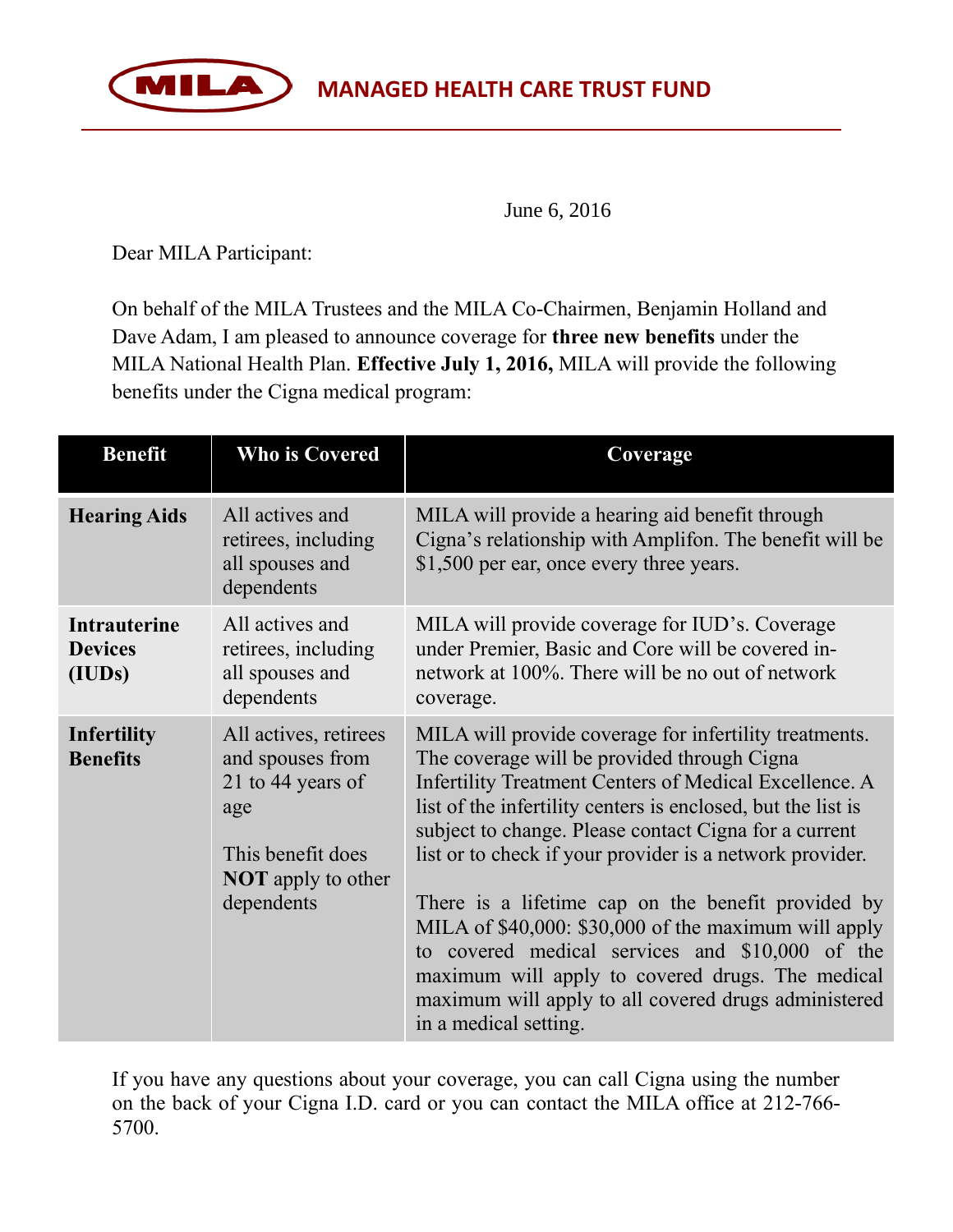

June 6, 2016

Dear MILA Participant:

MILA

On behalf of the MILA Trustees and the MILA Co-Chairmen, Benjamin Holland and Dave Adam, I am pleased to announce coverage for **three new benefits** under the MILA National Health Plan. **Effective July 1, 2016,** MILA will provide the following benefits under the Cigna medical program:

| <b>Benefit</b>                                  | <b>Who is Covered</b>                                                                                                                 | Coverage                                                                                                                                                                                                                                                                                                                                                                                                                                                                                                                                                                                                                                                   |
|-------------------------------------------------|---------------------------------------------------------------------------------------------------------------------------------------|------------------------------------------------------------------------------------------------------------------------------------------------------------------------------------------------------------------------------------------------------------------------------------------------------------------------------------------------------------------------------------------------------------------------------------------------------------------------------------------------------------------------------------------------------------------------------------------------------------------------------------------------------------|
| <b>Hearing Aids</b>                             | All actives and<br>retirees, including<br>all spouses and<br>dependents                                                               | MILA will provide a hearing aid benefit through<br>Cigna's relationship with Amplifon. The benefit will be<br>\$1,500 per ear, once every three years.                                                                                                                                                                                                                                                                                                                                                                                                                                                                                                     |
| <b>Intrauterine</b><br><b>Devices</b><br>(IUDs) | All actives and<br>retirees, including<br>all spouses and<br>dependents                                                               | MILA will provide coverage for IUD's. Coverage<br>under Premier, Basic and Core will be covered in-<br>network at 100%. There will be no out of network<br>coverage.                                                                                                                                                                                                                                                                                                                                                                                                                                                                                       |
| <b>Infertility</b><br><b>Benefits</b>           | All actives, retirees<br>and spouses from<br>21 to 44 years of<br>age<br>This benefit does<br><b>NOT</b> apply to other<br>dependents | MILA will provide coverage for infertility treatments.<br>The coverage will be provided through Cigna<br>Infertility Treatment Centers of Medical Excellence. A<br>list of the infertility centers is enclosed, but the list is<br>subject to change. Please contact Cigna for a current<br>list or to check if your provider is a network provider.<br>There is a lifetime cap on the benefit provided by<br>MILA of \$40,000: \$30,000 of the maximum will apply<br>to covered medical services and \$10,000 of the<br>maximum will apply to covered drugs. The medical<br>maximum will apply to all covered drugs administered<br>in a medical setting. |

If you have any questions about your coverage, you can call Cigna using the number on the back of your Cigna I.D. card or you can contact the MILA office at 212-766- 5700.